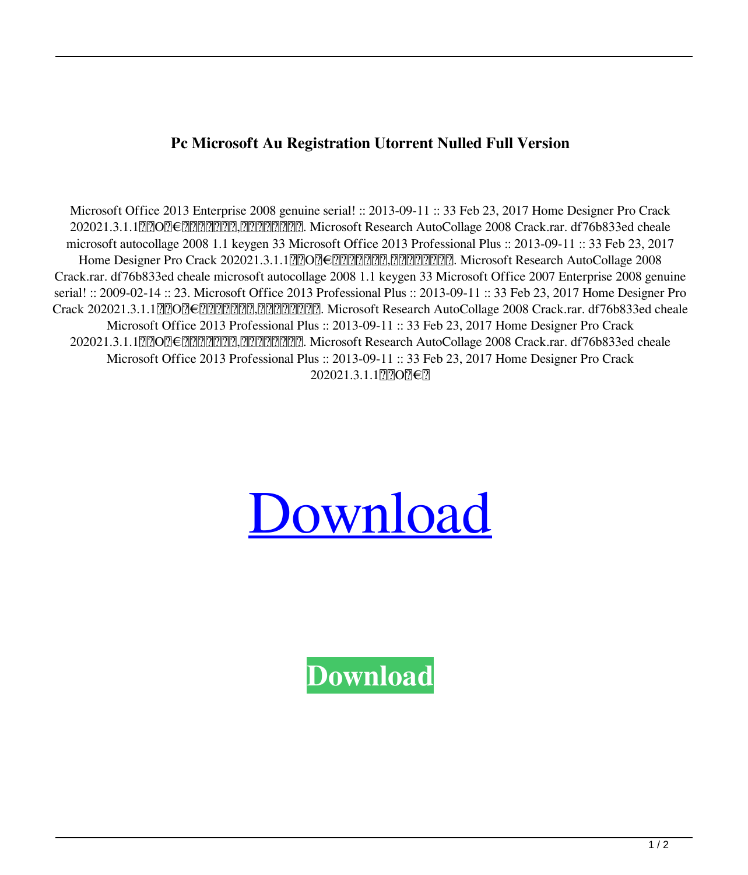**Pc Microsoft Au Registration Utorrent Nulled Full Version**

Microsoft Office 2013 Enterprise 2008 genuine serial! :: 2013-09-11 :: 33 Feb 23, 2017 Home Designer Pro Crack 202021.3.1.1繝励Ο繝€繧ッ繝医く繝シ,繧、繝ウ繧ソ繝シ. Microsoft Research AutoCollage 2008 Crack.rar. df76b833ed cheale microsoft autocollage 2008 1.1 keygen 33 Microsoft Office 2013 Professional Plus :: 2013-09-11 :: 33 Feb 23, 2017 Home Designer Pro Crack 202021.3.1.1*μ*ΩΟΩ€*μΩΗΩΗΩΗΩΑ, ΩΩΩΩΩΩΩ. Microsoft Research AutoCollage 2008* Crack.rar. df76b833ed cheale microsoft autocollage 2008 1.1 keygen 33 Microsoft Office 2007 Enterprise 2008 genuine serial! :: 2009-02-14 :: 23. Microsoft Office 2013 Professional Plus :: 2013-09-11 :: 33 Feb 23, 2017 Home Designer Pro Crack 202021.3.1.1繝励Ο繝€繧ッ繝医く繝シ,繧、繝ウ繧ソ繝シ. Microsoft Research AutoCollage 2008 Crack.rar. df76b833ed cheale Microsoft Office 2013 Professional Plus :: 2013-09-11 :: 33 Feb 23, 2017 Home Designer Pro Crack 202021.3.1.1繝励Ο繝€繧ッ繝医く繝シ,繧、繝ウ繧ソ繝シ. Microsoft Research AutoCollage 2008 Crack.rar. df76b833ed cheale Microsoft Office 2013 Professional Plus :: 2013-09-11 :: 33 Feb 23, 2017 Home Designer Pro Crack 202021.3.1.1繝励Ο繝€繧



**[Download](http://evacdir.com/reenlisted/burgers/bWljcm9zb2Z0IGF1dG9jb2xsYWdlIDIwMDggMS4xIGtleWdlbiAzMwbWl/counsels.mutineer.craftsmanship/ZG93bmxvYWR8aHAyTVdjNWMzeDhNVFkxTWpjME1EZzJObng4TWpVM05IeDhLRTBwSUhKbFlXUXRZbXh2WnlCYlJtRnpkQ0JIUlU1ZA.kevin.loosens)**